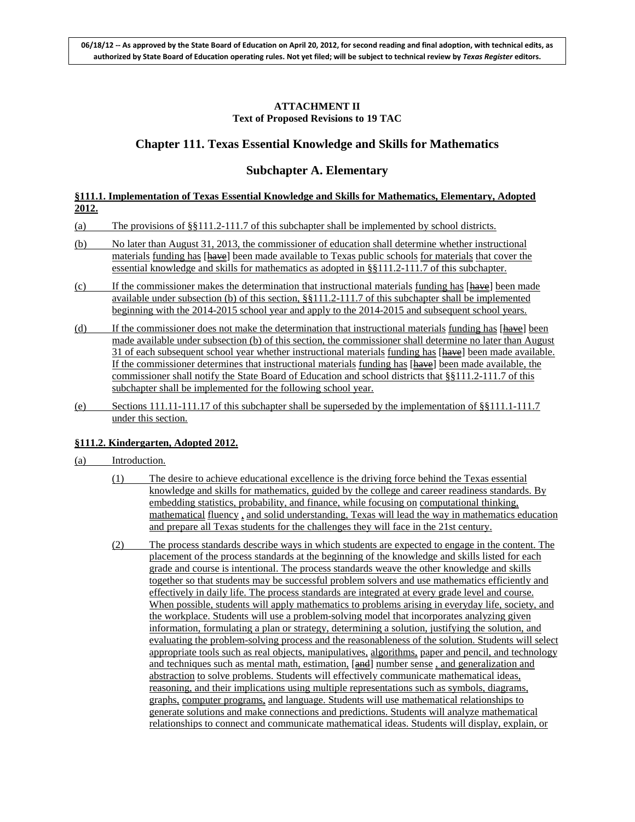### **ATTACHMENT II Text of Proposed Revisions to 19 TAC**

# **Chapter 111. Texas Essential Knowledge and Skills for Mathematics**

## **Subchapter A. Elementary**

### **§111.1. Implementation of Texas Essential Knowledge and Skills for Mathematics, Elementary, Adopted 2012.**

- (a) The provisions of §§111.2-111.7 of this subchapter shall be implemented by school districts.
- (b) No later than August 31, 2013, the commissioner of education shall determine whether instructional materials funding has [have] been made available to Texas public schools for materials that cover the essential knowledge and skills for mathematics as adopted in §§111.2-111.7 of this subchapter.
- $(c)$  If the commissioner makes the determination that instructional materials funding has  $[{\text{have}}]$  been made available under subsection (b) of this section, §§111.2-111.7 of this subchapter shall be implemented beginning with the 2014-2015 school year and apply to the 2014-2015 and subsequent school years.
- (d) If the commissioner does not make the determination that instructional materials funding has [have] been made available under subsection (b) of this section, the commissioner shall determine no later than August 31 of each subsequent school year whether instructional materials funding has [have] been made available. If the commissioner determines that instructional materials funding has [have] been made available, the commissioner shall notify the State Board of Education and school districts that §§111.2-111.7 of this subchapter shall be implemented for the following school year.
- (e) Sections 111.11-111.17 of this subchapter shall be superseded by the implementation of §§111.1-111.7 under this section.

### **§111.2. Kindergarten, Adopted 2012.**

- (a) Introduction.
	- (1) The desire to achieve educational excellence is the driving force behind the Texas essential knowledge and skills for mathematics, guided by the college and career readiness standards. By embedding statistics, probability, and finance, while focusing on computational thinking, mathematical fluency , and solid understanding, Texas will lead the way in mathematics education and prepare all Texas students for the challenges they will face in the 21st century.
	- (2) The process standards describe ways in which students are expected to engage in the content. The placement of the process standards at the beginning of the knowledge and skills listed for each grade and course is intentional. The process standards weave the other knowledge and skills together so that students may be successful problem solvers and use mathematics efficiently and effectively in daily life. The process standards are integrated at every grade level and course. When possible, students will apply mathematics to problems arising in everyday life, society, and the workplace. Students will use a problem-solving model that incorporates analyzing given information, formulating a plan or strategy, determining a solution, justifying the solution, and evaluating the problem-solving process and the reasonableness of the solution. Students will select appropriate tools such as real objects, manipulatives, algorithms, paper and pencil, and technology and techniques such as mental math, estimation, [and] number sense, and generalization and abstraction to solve problems. Students will effectively communicate mathematical ideas, reasoning, and their implications using multiple representations such as symbols, diagrams, graphs, computer programs, and language. Students will use mathematical relationships to generate solutions and make connections and predictions. Students will analyze mathematical relationships to connect and communicate mathematical ideas. Students will display, explain, or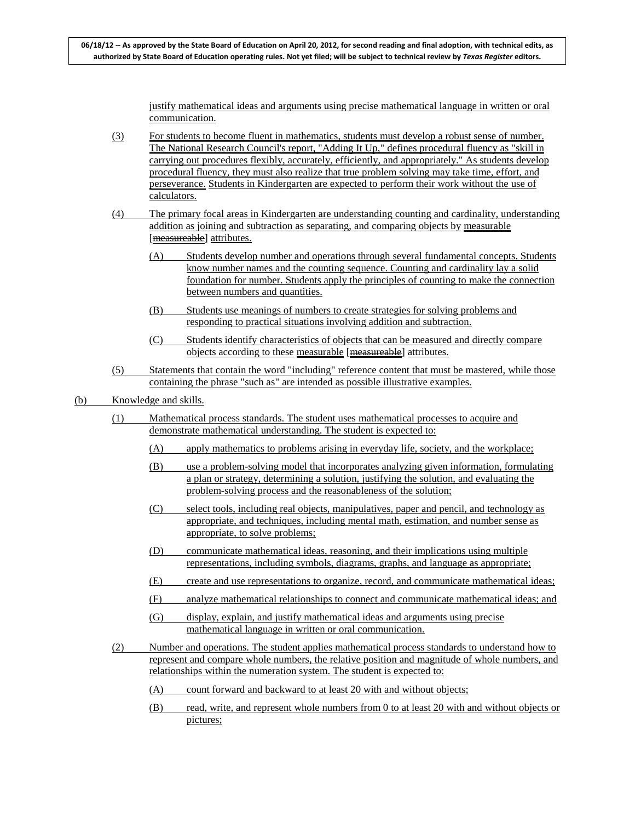justify mathematical ideas and arguments using precise mathematical language in written or oral communication.

- (3) For students to become fluent in mathematics, students must develop a robust sense of number. The National Research Council's report, "Adding It Up," defines procedural fluency as "skill in carrying out procedures flexibly, accurately, efficiently, and appropriately." As students develop procedural fluency, they must also realize that true problem solving may take time, effort, and perseverance. Students in Kindergarten are expected to perform their work without the use of calculators.
- (4) The primary focal areas in Kindergarten are understanding counting and cardinality, understanding addition as joining and subtraction as separating, and comparing objects by measurable [measureable] attributes.
	- (A) Students develop number and operations through several fundamental concepts. Students know number names and the counting sequence. Counting and cardinality lay a solid foundation for number. Students apply the principles of counting to make the connection between numbers and quantities.
	- (B) Students use meanings of numbers to create strategies for solving problems and responding to practical situations involving addition and subtraction.
	- (C) Students identify characteristics of objects that can be measured and directly compare objects according to these measurable [measureable] attributes.
- (5) Statements that contain the word "including" reference content that must be mastered, while those containing the phrase "such as" are intended as possible illustrative examples.
- (b) Knowledge and skills.
	- (1) Mathematical process standards. The student uses mathematical processes to acquire and demonstrate mathematical understanding. The student is expected to:
		- (A) apply mathematics to problems arising in everyday life, society, and the workplace;
		- (B) use a problem-solving model that incorporates analyzing given information, formulating a plan or strategy, determining a solution, justifying the solution, and evaluating the problem-solving process and the reasonableness of the solution;
		- (C) select tools, including real objects, manipulatives, paper and pencil, and technology as appropriate, and techniques, including mental math, estimation, and number sense as appropriate, to solve problems;
		- (D) communicate mathematical ideas, reasoning, and their implications using multiple representations, including symbols, diagrams, graphs, and language as appropriate;
		- (E) create and use representations to organize, record, and communicate mathematical ideas;
		- (F) analyze mathematical relationships to connect and communicate mathematical ideas; and
		- (G) display, explain, and justify mathematical ideas and arguments using precise mathematical language in written or oral communication.
	- (2) Number and operations. The student applies mathematical process standards to understand how to represent and compare whole numbers, the relative position and magnitude of whole numbers, and relationships within the numeration system. The student is expected to:
		- (A) count forward and backward to at least 20 with and without objects;
		- (B) read, write, and represent whole numbers from 0 to at least 20 with and without objects or pictures;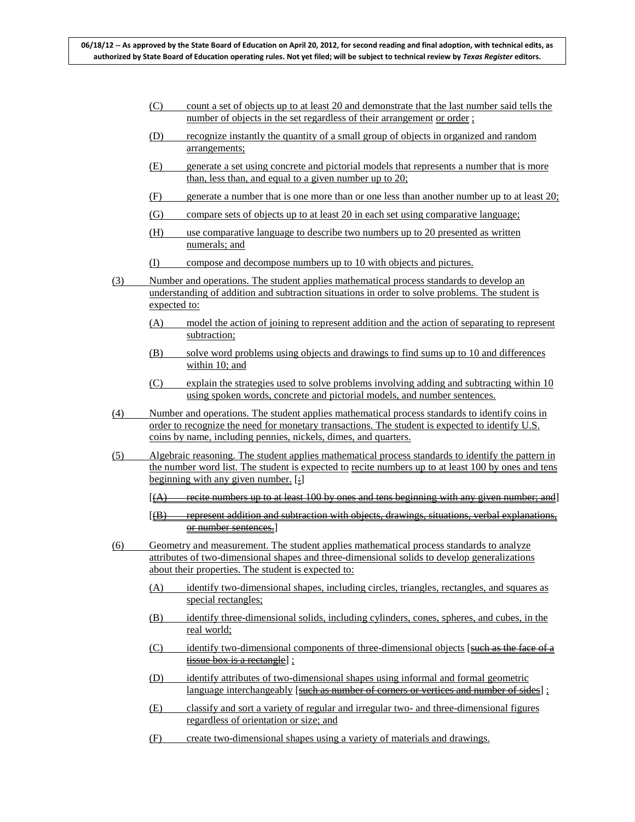- (C) count a set of objects up to at least 20 and demonstrate that the last number said tells the number of objects in the set regardless of their arrangement or order;
- (D) recognize instantly the quantity of a small group of objects in organized and random arrangements;
- (E) generate a set using concrete and pictorial models that represents a number that is more than, less than, and equal to a given number up to 20;
- (F) generate a number that is one more than or one less than another number up to at least 20;
- (G) compare sets of objects up to at least 20 in each set using comparative language;
- (H) use comparative language to describe two numbers up to 20 presented as written numerals; and
- (I) compose and decompose numbers up to 10 with objects and pictures.
- (3) Number and operations. The student applies mathematical process standards to develop an understanding of addition and subtraction situations in order to solve problems. The student is expected to:
	- (A) model the action of joining to represent addition and the action of separating to represent subtraction;
	- (B) solve word problems using objects and drawings to find sums up to 10 and differences within 10; and
	- (C) explain the strategies used to solve problems involving adding and subtracting within 10 using spoken words, concrete and pictorial models, and number sentences.
- (4) Number and operations. The student applies mathematical process standards to identify coins in order to recognize the need for monetary transactions. The student is expected to identify U.S. coins by name, including pennies, nickels, dimes, and quarters.
- (5) Algebraic reasoning. The student applies mathematical process standards to identify the pattern in the number word list. The student is expected to recite numbers up to at least 100 by ones and tens beginning with any given number.  $[\cdot]$

 $[(A)$  recite numbers up to at least 100 by ones and tens beginning with any given number; and

- [(B) represent addition and subtraction with objects, drawings, situations, verbal explanations, or number sentences.]
- (6) Geometry and measurement. The student applies mathematical process standards to analyze attributes of two-dimensional shapes and three-dimensional solids to develop generalizations about their properties. The student is expected to:
	- (A) identify two-dimensional shapes, including circles, triangles, rectangles, and squares as special rectangles;
	- (B) identify three-dimensional solids, including cylinders, cones, spheres, and cubes, in the real world;
	- (C) identify two-dimensional components of three-dimensional objects [such as the face of a tissue box is a rectangle] ;
	- (D) identify attributes of two-dimensional shapes using informal and formal geometric language interchangeably [such as number of corners or vertices and number of sides];
	- (E) classify and sort a variety of regular and irregular two- and three-dimensional figures regardless of orientation or size; and
	- (F) create two-dimensional shapes using a variety of materials and drawings.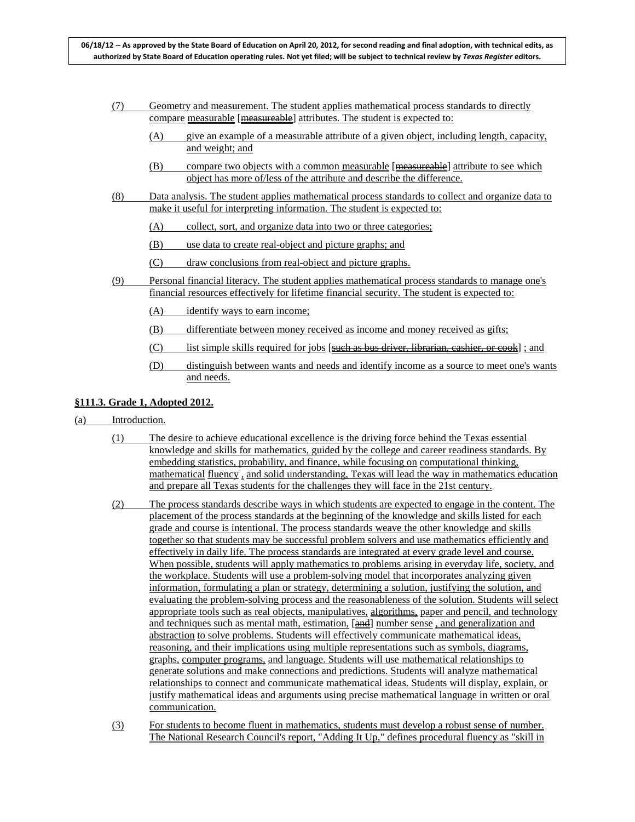- (7) Geometry and measurement. The student applies mathematical process standards to directly compare measurable [measureable] attributes. The student is expected to:
	- (A) give an example of a measurable attribute of a given object, including length, capacity, and weight; and
	- (B) compare two objects with a common measurable [measureable] attribute to see which object has more of/less of the attribute and describe the difference.
- (8) Data analysis. The student applies mathematical process standards to collect and organize data to make it useful for interpreting information. The student is expected to:
	- (A) collect, sort, and organize data into two or three categories;
	- (B) use data to create real-object and picture graphs; and
	- (C) draw conclusions from real-object and picture graphs.
- (9) Personal financial literacy. The student applies mathematical process standards to manage one's financial resources effectively for lifetime financial security. The student is expected to:
	- (A) identify ways to earn income;
	- (B) differentiate between money received as income and money received as gifts;
	- (C) list simple skills required for jobs  $[\frac{\text{such as bus driver}}{\text{diver, librarian, cashier, or cook}]$ ; and
	- (D) distinguish between wants and needs and identify income as a source to meet one's wants and needs.

### **§111.3. Grade 1, Adopted 2012.**

- (a) Introduction.
	- (1) The desire to achieve educational excellence is the driving force behind the Texas essential knowledge and skills for mathematics, guided by the college and career readiness standards. By embedding statistics, probability, and finance, while focusing on computational thinking, mathematical fluency , and solid understanding, Texas will lead the way in mathematics education and prepare all Texas students for the challenges they will face in the 21st century.
	- (2) The process standards describe ways in which students are expected to engage in the content. The placement of the process standards at the beginning of the knowledge and skills listed for each grade and course is intentional. The process standards weave the other knowledge and skills together so that students may be successful problem solvers and use mathematics efficiently and effectively in daily life. The process standards are integrated at every grade level and course. When possible, students will apply mathematics to problems arising in everyday life, society, and the workplace. Students will use a problem-solving model that incorporates analyzing given information, formulating a plan or strategy, determining a solution, justifying the solution, and evaluating the problem-solving process and the reasonableness of the solution. Students will select appropriate tools such as real objects, manipulatives, algorithms, paper and pencil, and technology and techniques such as mental math, estimation,  $[\frac{and}{}]$  number sense, and generalization and abstraction to solve problems. Students will effectively communicate mathematical ideas, reasoning, and their implications using multiple representations such as symbols, diagrams, graphs, computer programs, and language. Students will use mathematical relationships to generate solutions and make connections and predictions. Students will analyze mathematical relationships to connect and communicate mathematical ideas. Students will display, explain, or justify mathematical ideas and arguments using precise mathematical language in written or oral communication.
	- (3) For students to become fluent in mathematics, students must develop a robust sense of number. The National Research Council's report, "Adding It Up," defines procedural fluency as "skill in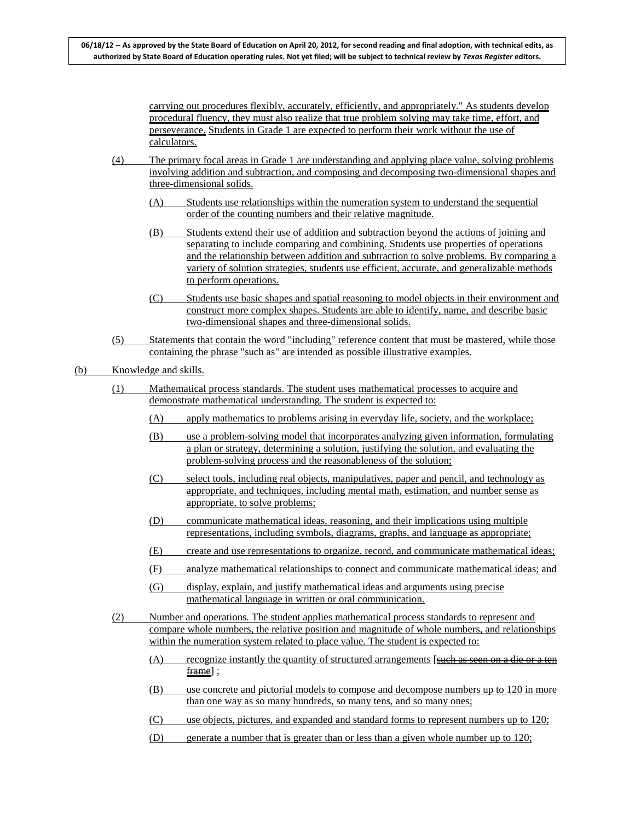carrying out procedures flexibly, accurately, efficiently, and appropriately." As students develop procedural fluency, they must also realize that true problem solving may take time, effort, and perseverance. Students in Grade 1 are expected to perform their work without the use of calculators.

- (4) The primary focal areas in Grade 1 are understanding and applying place value, solving problems involving addition and subtraction, and composing and decomposing two-dimensional shapes and three-dimensional solids.
	- (A) Students use relationships within the numeration system to understand the sequential order of the counting numbers and their relative magnitude.
	- (B) Students extend their use of addition and subtraction beyond the actions of joining and separating to include comparing and combining. Students use properties of operations and the relationship between addition and subtraction to solve problems. By comparing a variety of solution strategies, students use efficient, accurate, and generalizable methods to perform operations.
	- (C) Students use basic shapes and spatial reasoning to model objects in their environment and construct more complex shapes. Students are able to identify, name, and describe basic two-dimensional shapes and three-dimensional solids.
- (5) Statements that contain the word "including" reference content that must be mastered, while those containing the phrase "such as" are intended as possible illustrative examples.

### (b) Knowledge and skills.

- (1) Mathematical process standards. The student uses mathematical processes to acquire and demonstrate mathematical understanding. The student is expected to:
	- (A) apply mathematics to problems arising in everyday life, society, and the workplace;
	- (B) use a problem-solving model that incorporates analyzing given information, formulating a plan or strategy, determining a solution, justifying the solution, and evaluating the problem-solving process and the reasonableness of the solution;
	- (C) select tools, including real objects, manipulatives, paper and pencil, and technology as appropriate, and techniques, including mental math, estimation, and number sense as appropriate, to solve problems;
	- (D) communicate mathematical ideas, reasoning, and their implications using multiple representations, including symbols, diagrams, graphs, and language as appropriate;
	- (E) create and use representations to organize, record, and communicate mathematical ideas;
	- (F) analyze mathematical relationships to connect and communicate mathematical ideas; and
	- (G) display, explain, and justify mathematical ideas and arguments using precise mathematical language in written or oral communication.
- (2) Number and operations. The student applies mathematical process standards to represent and compare whole numbers, the relative position and magnitude of whole numbers, and relationships within the numeration system related to place value. The student is expected to:
	- (A) recognize instantly the quantity of structured arrangements [such as seen on a die or a ten  $frac{frame}{$  $;$
	- (B) use concrete and pictorial models to compose and decompose numbers up to 120 in more than one way as so many hundreds, so many tens, and so many ones;
	- (C) use objects, pictures, and expanded and standard forms to represent numbers up to 120;
	- (D) generate a number that is greater than or less than a given whole number up to 120;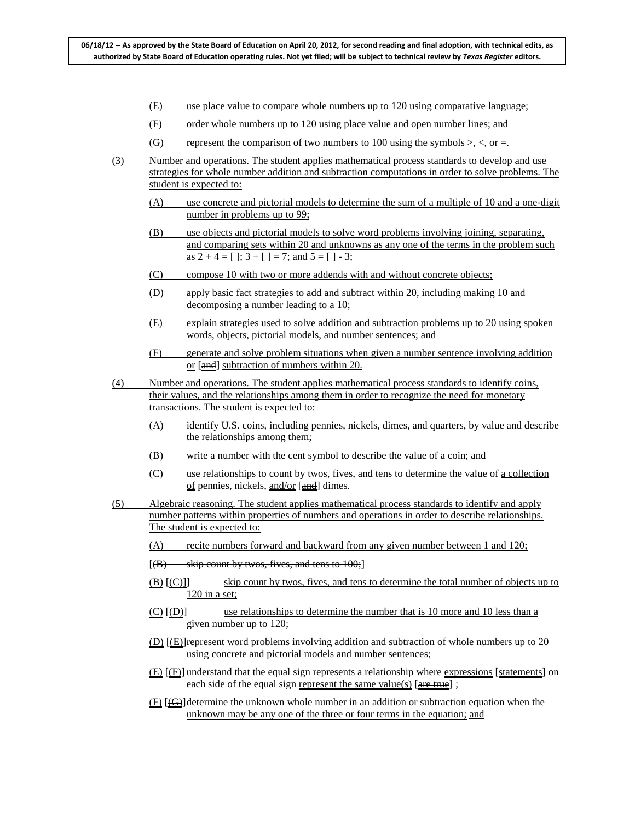- (E) use place value to compare whole numbers up to 120 using comparative language;
- (F) order whole numbers up to 120 using place value and open number lines; and
- (G) represent the comparison of two numbers to 100 using the symbols  $\geq$ ,  $\lt$ , or  $=$ .
- (3) Number and operations. The student applies mathematical process standards to develop and use strategies for whole number addition and subtraction computations in order to solve problems. The student is expected to:
	- (A) use concrete and pictorial models to determine the sum of a multiple of 10 and a one-digit number in problems up to 99;
	- (B) use objects and pictorial models to solve word problems involving joining, separating, and comparing sets within 20 and unknowns as any one of the terms in the problem such as  $2 + 4 = 1$ ;  $3 + 1 = 7$ ; and  $5 = 1 - 3$ ;
	- (C) compose 10 with two or more addends with and without concrete objects;
	- (D) apply basic fact strategies to add and subtract within 20, including making 10 and decomposing a number leading to a 10;
	- (E) explain strategies used to solve addition and subtraction problems up to 20 using spoken words, objects, pictorial models, and number sentences; and
	- (F) generate and solve problem situations when given a number sentence involving addition or [and] subtraction of numbers within 20.
- (4) Number and operations. The student applies mathematical process standards to identify coins, their values, and the relationships among them in order to recognize the need for monetary transactions. The student is expected to:
	- (A) identify U.S. coins, including pennies, nickels, dimes, and quarters, by value and describe the relationships among them;
	- (B) write a number with the cent symbol to describe the value of a coin; and
	- $(C)$  use relationships to count by twos, fives, and tens to determine the value of <u>a collection</u> of pennies, nickels, and/or [and] dimes.
- (5) Algebraic reasoning. The student applies mathematical process standards to identify and apply number patterns within properties of numbers and operations in order to describe relationships. The student is expected to:
	- (A) recite numbers forward and backward from any given number between 1 and 120;
	- $[$ (B) skip count by twos, fives, and tens to  $100;$ ]
	- $(B)$   $[  
	(C)]$ skip count by twos, fives, and tens to determine the total number of objects up to 120 in a set;
	- $(C)$   $(\oplus)$ use relationships to determine the number that is 10 more and 10 less than a given number up to 120;
	- $(D)$  [ $E$ ] represent word problems involving addition and subtraction of whole numbers up to 20 using concrete and pictorial models and number sentences;
	- $(E)$  [ $(E)$ ] understand that the equal sign represents a relationship where expressions [statements] on each side of the equal sign represent the same value(s) [are true] ;
	- $(E)$  [ $\Theta$ ] determine the unknown whole number in an addition or subtraction equation when the unknown may be any one of the three or four terms in the equation; and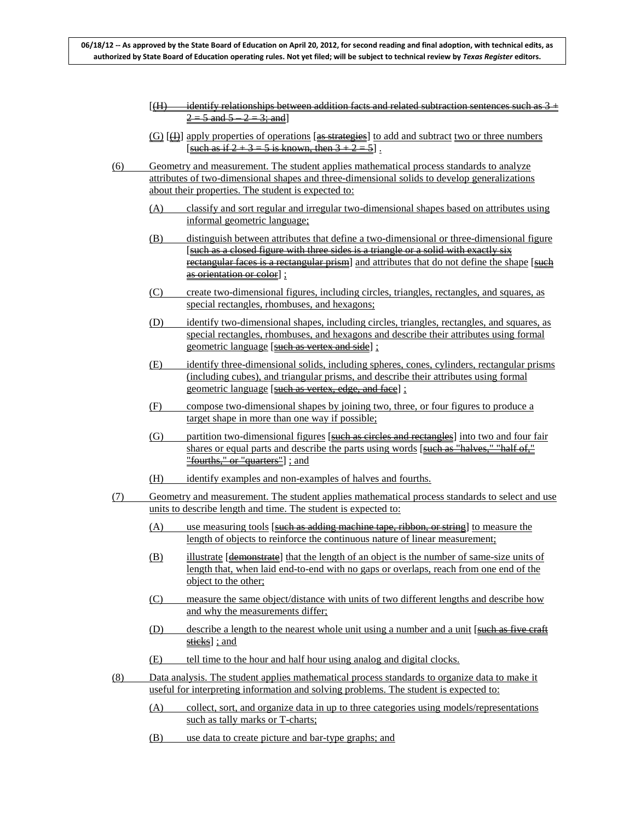- $\left[\frac{H}{H}\right]$  identify relationships between addition facts and related subtraction sentences such as 3 +  $2 = 5$  and  $5 - 2 = 3$ ; and
- $(G)$   $[\oplus]$  apply properties of operations  $[\oplus]$  strategies to add and subtract two or three numbers [such as if  $2 + 3 = 5$  is known, then  $3 + 2 = 5$ ].
- (6) Geometry and measurement. The student applies mathematical process standards to analyze attributes of two-dimensional shapes and three-dimensional solids to develop generalizations about their properties. The student is expected to:
	- (A) classify and sort regular and irregular two-dimensional shapes based on attributes using informal geometric language;
	- (B) distinguish between attributes that define a two-dimensional or three-dimensional figure [such as a closed figure with three sides is a triangle or a solid with exactly six rectangular faces is a rectangular prism and attributes that do not define the shape [such as orientation or color] ;
	- (C) create two-dimensional figures, including circles, triangles, rectangles, and squares, as special rectangles, rhombuses, and hexagons;
	- (D) identify two-dimensional shapes, including circles, triangles, rectangles, and squares, as special rectangles, rhombuses, and hexagons and describe their attributes using formal geometric language [such as vertex and side] ;
	- (E) identify three-dimensional solids, including spheres, cones, cylinders, rectangular prisms (including cubes), and triangular prisms, and describe their attributes using formal geometric language [such as vertex, edge, and face] ;
	- (F) compose two-dimensional shapes by joining two, three, or four figures to produce a target shape in more than one way if possible;
	- (G) partition two-dimensional figures [such as circles and rectangles] into two and four fair shares or equal parts and describe the parts using words  $\frac{\text{such as "halves," "half of,"}}{\text{small.}}$ "fourths," or "quarters"] ; and
	- (H) identify examples and non-examples of halves and fourths.
- (7) Geometry and measurement. The student applies mathematical process standards to select and use units to describe length and time. The student is expected to:
	- $(A)$  use measuring tools [such as adding machine tape, ribbon, or string] to measure the length of objects to reinforce the continuous nature of linear measurement;
	- (B) illustrate [demonstrate] that the length of an object is the number of same-size units of length that, when laid end-to-end with no gaps or overlaps, reach from one end of the object to the other;
	- (C) measure the same object/distance with units of two different lengths and describe how and why the measurements differ;
	- (D) describe a length to the nearest whole unit using a number and a unit  $\frac{\text{such as five craft}}{\text{such as five craft}}$ sticks]; and
	- (E) tell time to the hour and half hour using analog and digital clocks.
- (8) Data analysis. The student applies mathematical process standards to organize data to make it useful for interpreting information and solving problems. The student is expected to:
	- (A) collect, sort, and organize data in up to three categories using models/representations such as tally marks or T-charts;
	- (B) use data to create picture and bar-type graphs; and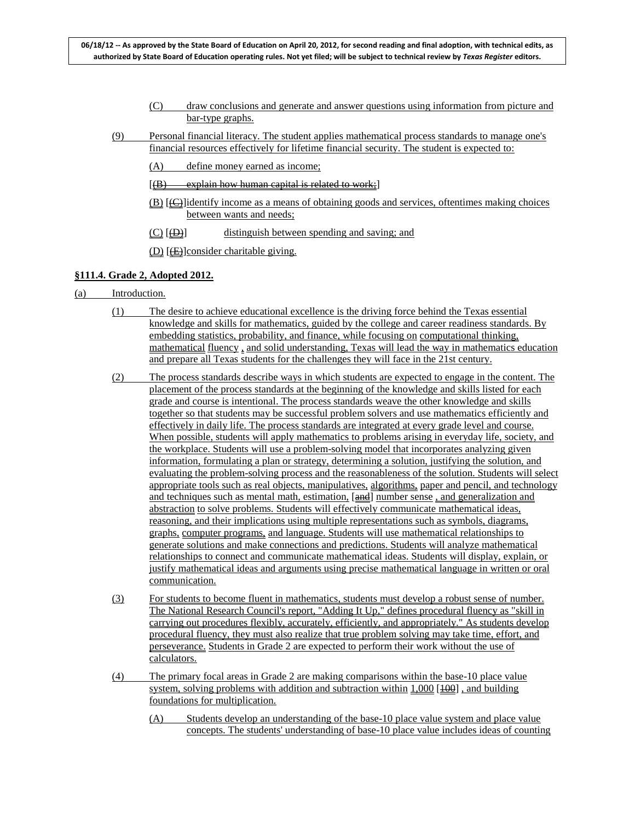- (C) draw conclusions and generate and answer questions using information from picture and bar-type graphs.
- (9) Personal financial literacy. The student applies mathematical process standards to manage one's financial resources effectively for lifetime financial security. The student is expected to:
	- (A) define money earned as income;
	- $[(B) \quad explain how human capital is related to work;]$
	- $(B)$  [ $\bigoplus$ ] identify income as a means of obtaining goods and services, oftentimes making choices between wants and needs;
	- $(C)$   $[AD]$ distinguish between spending and saving; and

(D) [<del>(E)</del>] consider charitable giving.

### **§111.4. Grade 2, Adopted 2012.**

- (a) Introduction.
	- (1) The desire to achieve educational excellence is the driving force behind the Texas essential knowledge and skills for mathematics, guided by the college and career readiness standards. By embedding statistics, probability, and finance, while focusing on computational thinking, mathematical fluency , and solid understanding, Texas will lead the way in mathematics education and prepare all Texas students for the challenges they will face in the 21st century.
	- (2) The process standards describe ways in which students are expected to engage in the content. The placement of the process standards at the beginning of the knowledge and skills listed for each grade and course is intentional. The process standards weave the other knowledge and skills together so that students may be successful problem solvers and use mathematics efficiently and effectively in daily life. The process standards are integrated at every grade level and course. When possible, students will apply mathematics to problems arising in everyday life, society, and the workplace. Students will use a problem-solving model that incorporates analyzing given information, formulating a plan or strategy, determining a solution, justifying the solution, and evaluating the problem-solving process and the reasonableness of the solution. Students will select appropriate tools such as real objects, manipulatives, algorithms, paper and pencil, and technology and techniques such as mental math, estimation, [and] number sense, and generalization and abstraction to solve problems. Students will effectively communicate mathematical ideas, reasoning, and their implications using multiple representations such as symbols, diagrams, graphs, computer programs, and language. Students will use mathematical relationships to generate solutions and make connections and predictions. Students will analyze mathematical relationships to connect and communicate mathematical ideas. Students will display, explain, or justify mathematical ideas and arguments using precise mathematical language in written or oral communication.
	- (3) For students to become fluent in mathematics, students must develop a robust sense of number. The National Research Council's report, "Adding It Up," defines procedural fluency as "skill in carrying out procedures flexibly, accurately, efficiently, and appropriately." As students develop procedural fluency, they must also realize that true problem solving may take time, effort, and perseverance. Students in Grade 2 are expected to perform their work without the use of calculators.
	- (4) The primary focal areas in Grade 2 are making comparisons within the base-10 place value system, solving problems with addition and subtraction within  $1,000$  [ $100$ ], and building foundations for multiplication.
		- (A) Students develop an understanding of the base-10 place value system and place value concepts. The students' understanding of base-10 place value includes ideas of counting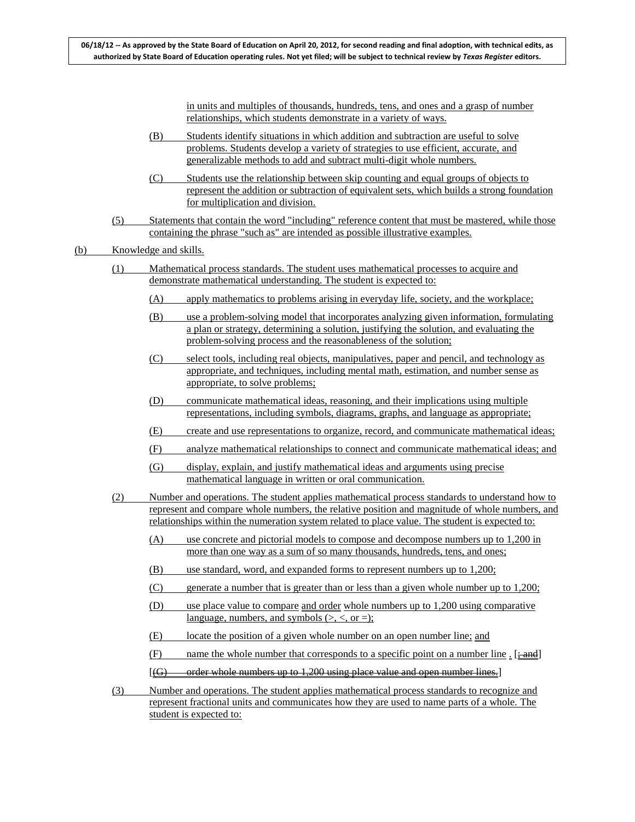in units and multiples of thousands, hundreds, tens, and ones and a grasp of number relationships, which students demonstrate in a variety of ways.

- (B) Students identify situations in which addition and subtraction are useful to solve problems. Students develop a variety of strategies to use efficient, accurate, and generalizable methods to add and subtract multi-digit whole numbers.
- (C) Students use the relationship between skip counting and equal groups of objects to represent the addition or subtraction of equivalent sets, which builds a strong foundation for multiplication and division.
- (5) Statements that contain the word "including" reference content that must be mastered, while those containing the phrase "such as" are intended as possible illustrative examples.
- (b) Knowledge and skills.
	- (1) Mathematical process standards. The student uses mathematical processes to acquire and demonstrate mathematical understanding. The student is expected to:
		- (A) apply mathematics to problems arising in everyday life, society, and the workplace;
		- (B) use a problem-solving model that incorporates analyzing given information, formulating a plan or strategy, determining a solution, justifying the solution, and evaluating the problem-solving process and the reasonableness of the solution;
		- (C) select tools, including real objects, manipulatives, paper and pencil, and technology as appropriate, and techniques, including mental math, estimation, and number sense as appropriate, to solve problems;
		- (D) communicate mathematical ideas, reasoning, and their implications using multiple representations, including symbols, diagrams, graphs, and language as appropriate;
		- (E) create and use representations to organize, record, and communicate mathematical ideas;
		- (F) analyze mathematical relationships to connect and communicate mathematical ideas; and
		- (G) display, explain, and justify mathematical ideas and arguments using precise mathematical language in written or oral communication.
	- (2) Number and operations. The student applies mathematical process standards to understand how to represent and compare whole numbers, the relative position and magnitude of whole numbers, and relationships within the numeration system related to place value. The student is expected to:
		- (A) use concrete and pictorial models to compose and decompose numbers up to 1,200 in more than one way as a sum of so many thousands, hundreds, tens, and ones;
		- (B) use standard, word, and expanded forms to represent numbers up to 1,200;
		- (C) generate a number that is greater than or less than a given whole number up to 1,200;
		- (D) use place value to compare and order whole numbers up to 1,200 using comparative language, numbers, and symbols  $(>, <, or =);$
		- (E) locate the position of a given whole number on an open number line; and
		- (F) name the whole number that corresponds to a specific point on a number line  $\frac{1}{2}$  [ $\frac{1}{2}$  and]
		- $[(G) \qquad$  order whole numbers up to 1,200 using place value and open number lines.]
	- (3) Number and operations. The student applies mathematical process standards to recognize and represent fractional units and communicates how they are used to name parts of a whole. The student is expected to: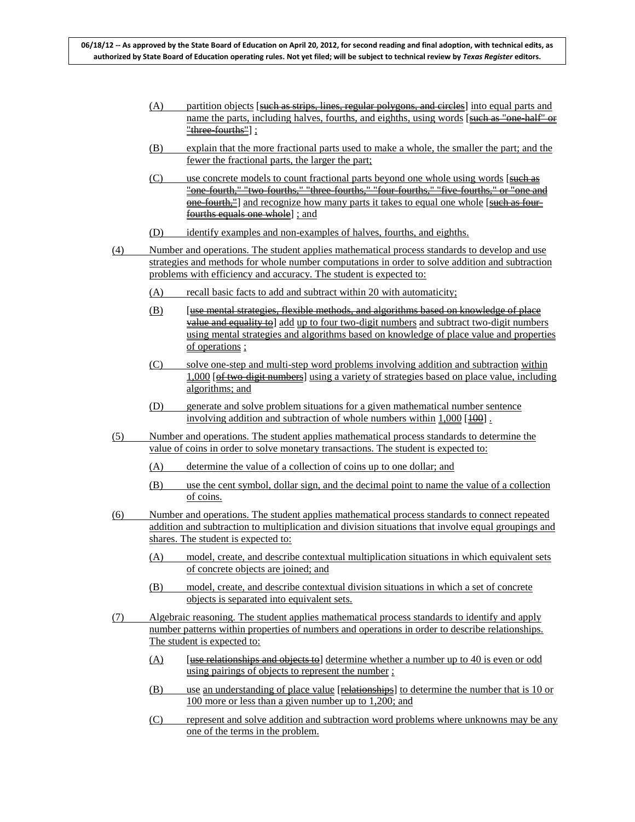- $(A)$  partition objects [such as strips, lines, regular polygons, and circles] into equal parts and name the parts, including halves, fourths, and eighths, using words [such as "one-half" or "three-fourths"] ;
- (B) explain that the more fractional parts used to make a whole, the smaller the part; and the fewer the fractional parts, the larger the part;
- (C) use concrete models to count fractional parts beyond one whole using words [such as "one-fourth," "two-fourths," "three-fourths," "four-fourths," "five-fourths," or "one and one-fourth,"] and recognize how many parts it takes to equal one whole [such as fourfourths equals one whole] ; and
- (D) identify examples and non-examples of halves, fourths, and eighths.
- (4) Number and operations. The student applies mathematical process standards to develop and use strategies and methods for whole number computations in order to solve addition and subtraction problems with efficiency and accuracy. The student is expected to:
	- (A) recall basic facts to add and subtract within 20 with automaticity;
	- (B) [use mental strategies, flexible methods, and algorithms based on knowledge of place value and equality to] add up to four two-digit numbers and subtract two-digit numbers using mental strategies and algorithms based on knowledge of place value and properties of operations ;
	- (C) solve one-step and multi-step word problems involving addition and subtraction within 1,000 [of two-digit numbers] using a variety of strategies based on place value, including algorithms; and
	- (D) generate and solve problem situations for a given mathematical number sentence involving addition and subtraction of whole numbers within  $1,000$  [ $\overline{100}$ ].
- (5) Number and operations. The student applies mathematical process standards to determine the value of coins in order to solve monetary transactions. The student is expected to:
	- (A) determine the value of a collection of coins up to one dollar; and
	- (B) use the cent symbol, dollar sign, and the decimal point to name the value of a collection of coins.
- (6) Number and operations. The student applies mathematical process standards to connect repeated addition and subtraction to multiplication and division situations that involve equal groupings and shares. The student is expected to:
	- (A) model, create, and describe contextual multiplication situations in which equivalent sets of concrete objects are joined; and
	- (B) model, create, and describe contextual division situations in which a set of concrete objects is separated into equivalent sets.
- (7) Algebraic reasoning. The student applies mathematical process standards to identify and apply number patterns within properties of numbers and operations in order to describe relationships. The student is expected to:
	- $(A)$  [use relationships and objects to] determine whether a number up to 40 is even or odd using pairings of objects to represent the number ;
	- (B) use an understanding of place value [relationships] to determine the number that is 10 or 100 more or less than a given number up to 1,200; and
	- (C) represent and solve addition and subtraction word problems where unknowns may be any one of the terms in the problem.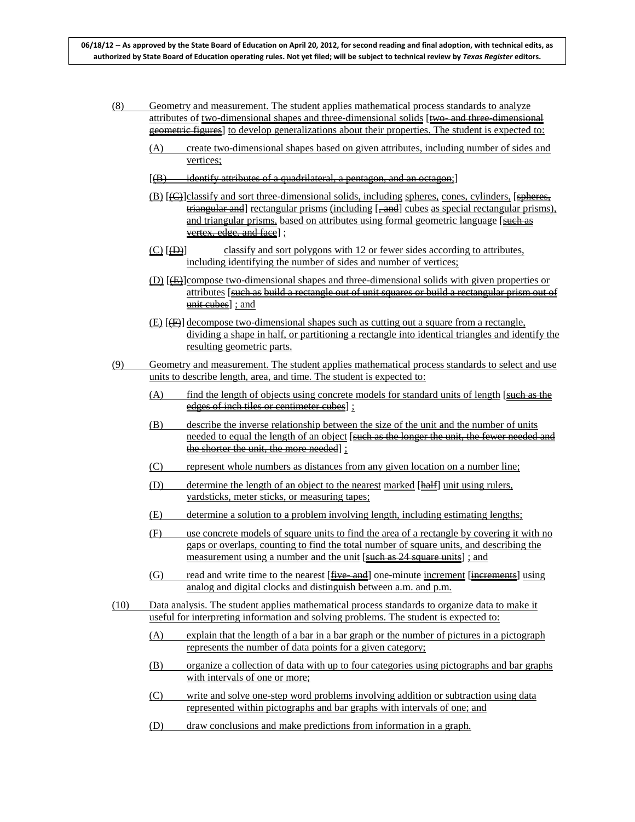- (8) Geometry and measurement. The student applies mathematical process standards to analyze attributes of two-dimensional shapes and three-dimensional solids [two- and three-dimensional geometric figures] to develop generalizations about their properties. The student is expected to:
	- (A) create two-dimensional shapes based on given attributes, including number of sides and vertices;
	- $[(B)$  identify attributes of a quadrilateral, a pentagon, and an octagon;]
	- (B) [(C)]classify and sort three-dimensional solids, including spheres, cones, cylinders, [spheres,  $t$  triangular and rectangular prisms (including  $[-\text{and}]$  cubes as special rectangular prisms), and triangular prisms, based on attributes using formal geometric language [such as vertex, edge, and face] ;
	- $(C)$   $(\oplus)$ classify and sort polygons with 12 or fewer sides according to attributes, including identifying the number of sides and number of vertices;
	- $(D)$  [ $E$ ] compose two-dimensional shapes and three-dimensional solids with given properties or attributes [such as build a rectangle out of unit squares or build a rectangular prism out of <u>unit cubes]</u> ; and
	- $(E)$  [ $E$ ] decompose two-dimensional shapes such as cutting out a square from a rectangle, dividing a shape in half, or partitioning a rectangle into identical triangles and identify the resulting geometric parts.
- (9) Geometry and measurement. The student applies mathematical process standards to select and use units to describe length, area, and time. The student is expected to:
	- $(A)$  find the length of objects using concrete models for standard units of length  $\left[ \frac{\text{such as the}}{\text{left}} \right]$ edges of inch tiles or centimeter cubes] ;
	- (B) describe the inverse relationship between the size of the unit and the number of units needed to equal the length of an object [such as the longer the unit, the fewer needed and the shorter the unit, the more needed] ;
	- (C) represent whole numbers as distances from any given location on a number line;
	- (D) determine the length of an object to the nearest marked [half] unit using rulers, yardsticks, meter sticks, or measuring tapes;
	- (E) determine a solution to a problem involving length, including estimating lengths;
	- (F) use concrete models of square units to find the area of a rectangle by covering it with no gaps or overlaps, counting to find the total number of square units, and describing the measurement using a number and the unit [such as 24 square units]; and
	- (G) read and write time to the nearest [<del>five and</del>] one-minute increment [increments] using analog and digital clocks and distinguish between a.m. and p.m.
- (10) Data analysis. The student applies mathematical process standards to organize data to make it useful for interpreting information and solving problems. The student is expected to:
	- (A) explain that the length of a bar in a bar graph or the number of pictures in a pictograph represents the number of data points for a given category;
	- (B) organize a collection of data with up to four categories using pictographs and bar graphs with intervals of one or more;
	- (C) write and solve one-step word problems involving addition or subtraction using data represented within pictographs and bar graphs with intervals of one; and
	- (D) draw conclusions and make predictions from information in a graph.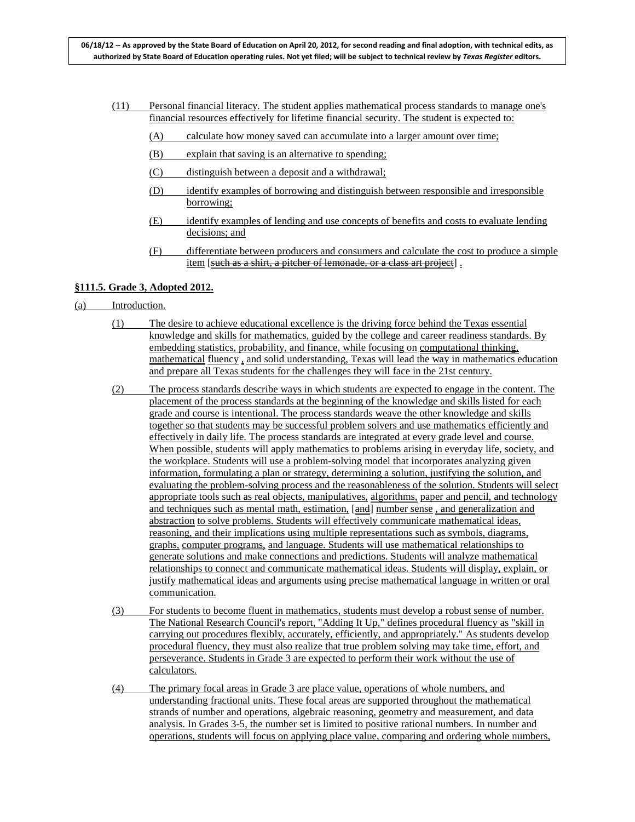- (11) Personal financial literacy. The student applies mathematical process standards to manage one's financial resources effectively for lifetime financial security. The student is expected to:
	- (A) calculate how money saved can accumulate into a larger amount over time;
	- (B) explain that saving is an alternative to spending;
	- (C) distinguish between a deposit and a withdrawal;
	- (D) identify examples of borrowing and distinguish between responsible and irresponsible borrowing;
	- (E) identify examples of lending and use concepts of benefits and costs to evaluate lending decisions; and
	- (F) differentiate between producers and consumers and calculate the cost to produce a simple item [such as a shirt, a pitcher of lemonade, or a class art project].

### **§111.5. Grade 3, Adopted 2012.**

- (a) Introduction.
	- (1) The desire to achieve educational excellence is the driving force behind the Texas essential knowledge and skills for mathematics, guided by the college and career readiness standards. By embedding statistics, probability, and finance, while focusing on computational thinking, mathematical fluency , and solid understanding, Texas will lead the way in mathematics education and prepare all Texas students for the challenges they will face in the 21st century.
	- (2) The process standards describe ways in which students are expected to engage in the content. The placement of the process standards at the beginning of the knowledge and skills listed for each grade and course is intentional. The process standards weave the other knowledge and skills together so that students may be successful problem solvers and use mathematics efficiently and effectively in daily life. The process standards are integrated at every grade level and course. When possible, students will apply mathematics to problems arising in everyday life, society, and the workplace. Students will use a problem-solving model that incorporates analyzing given information, formulating a plan or strategy, determining a solution, justifying the solution, and evaluating the problem-solving process and the reasonableness of the solution. Students will select appropriate tools such as real objects, manipulatives, algorithms, paper and pencil, and technology and techniques such as mental math, estimation, [and] number sense, and generalization and abstraction to solve problems. Students will effectively communicate mathematical ideas, reasoning, and their implications using multiple representations such as symbols, diagrams, graphs, computer programs, and language. Students will use mathematical relationships to generate solutions and make connections and predictions. Students will analyze mathematical relationships to connect and communicate mathematical ideas. Students will display, explain, or justify mathematical ideas and arguments using precise mathematical language in written or oral communication.
	- (3) For students to become fluent in mathematics, students must develop a robust sense of number. The National Research Council's report, "Adding It Up," defines procedural fluency as "skill in carrying out procedures flexibly, accurately, efficiently, and appropriately." As students develop procedural fluency, they must also realize that true problem solving may take time, effort, and perseverance. Students in Grade 3 are expected to perform their work without the use of calculators.
	- (4) The primary focal areas in Grade 3 are place value, operations of whole numbers, and understanding fractional units. These focal areas are supported throughout the mathematical strands of number and operations, algebraic reasoning, geometry and measurement, and data analysis. In Grades 3-5, the number set is limited to positive rational numbers. In number and operations, students will focus on applying place value, comparing and ordering whole numbers,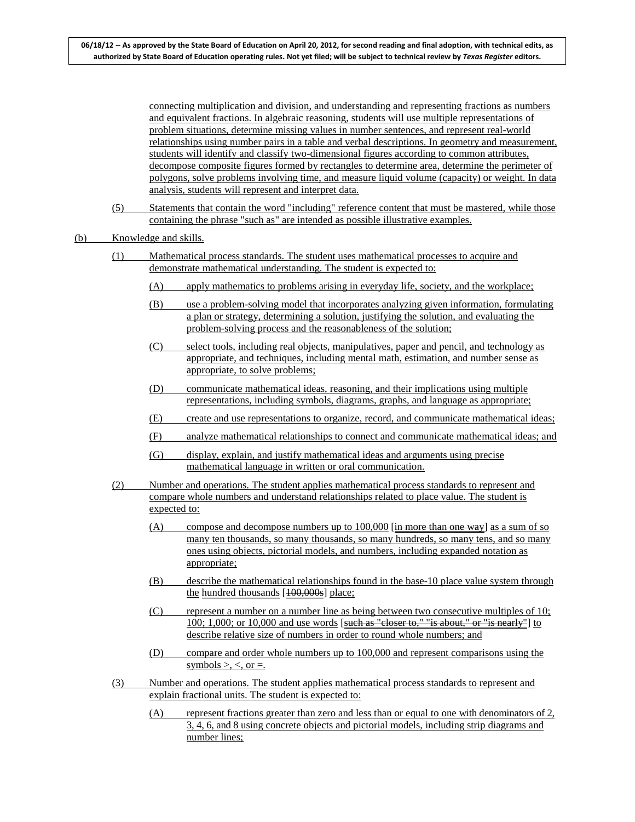connecting multiplication and division, and understanding and representing fractions as numbers and equivalent fractions. In algebraic reasoning, students will use multiple representations of problem situations, determine missing values in number sentences, and represent real-world relationships using number pairs in a table and verbal descriptions. In geometry and measurement, students will identify and classify two-dimensional figures according to common attributes, decompose composite figures formed by rectangles to determine area, determine the perimeter of polygons, solve problems involving time, and measure liquid volume (capacity) or weight. In data analysis, students will represent and interpret data.

(5) Statements that contain the word "including" reference content that must be mastered, while those containing the phrase "such as" are intended as possible illustrative examples.

#### (b) Knowledge and skills.

- (1) Mathematical process standards. The student uses mathematical processes to acquire and demonstrate mathematical understanding. The student is expected to:
	- (A) apply mathematics to problems arising in everyday life, society, and the workplace;
	- (B) use a problem-solving model that incorporates analyzing given information, formulating a plan or strategy, determining a solution, justifying the solution, and evaluating the problem-solving process and the reasonableness of the solution;
	- (C) select tools, including real objects, manipulatives, paper and pencil, and technology as appropriate, and techniques, including mental math, estimation, and number sense as appropriate, to solve problems;
	- (D) communicate mathematical ideas, reasoning, and their implications using multiple representations, including symbols, diagrams, graphs, and language as appropriate;
	- (E) create and use representations to organize, record, and communicate mathematical ideas;
	- (F) analyze mathematical relationships to connect and communicate mathematical ideas; and
	- (G) display, explain, and justify mathematical ideas and arguments using precise mathematical language in written or oral communication.
- (2) Number and operations. The student applies mathematical process standards to represent and compare whole numbers and understand relationships related to place value. The student is expected to:
	- (A) compose and decompose numbers up to  $100,000$  [in more than one way] as a sum of so many ten thousands, so many thousands, so many hundreds, so many tens, and so many ones using objects, pictorial models, and numbers, including expanded notation as appropriate;
	- (B) describe the mathematical relationships found in the base-10 place value system through the hundred thousands [100,000s] place;
	- (C) represent a number on a number line as being between two consecutive multiples of 10; 100; 1,000; or 10,000 and use words [such as "closer to," "is about," or "is nearly"] to describe relative size of numbers in order to round whole numbers; and
	- (D) compare and order whole numbers up to 100,000 and represent comparisons using the symbols  $>$ ,  $<$ , or  $=$ .
- (3) Number and operations. The student applies mathematical process standards to represent and explain fractional units. The student is expected to:
	- (A) represent fractions greater than zero and less than or equal to one with denominators of 2, 3, 4, 6, and 8 using concrete objects and pictorial models, including strip diagrams and number lines;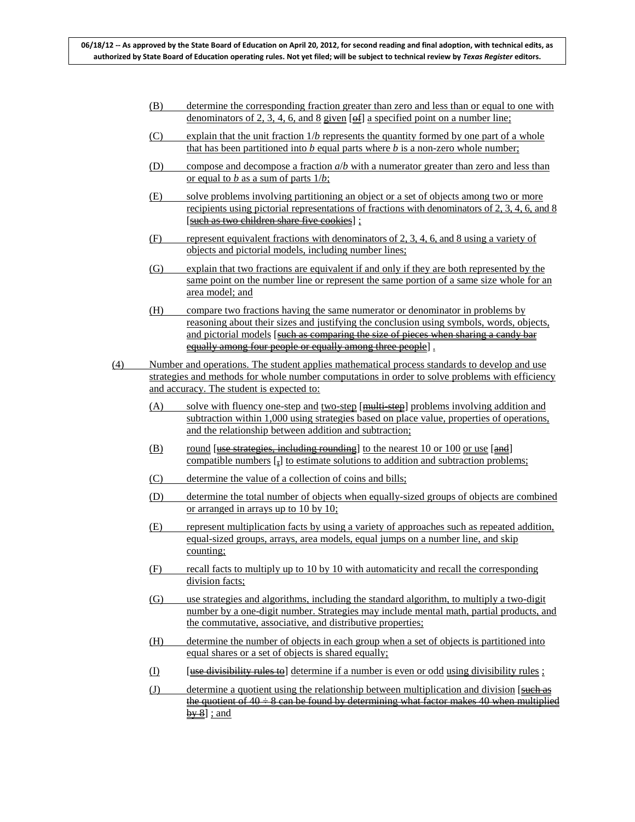- (B) determine the corresponding fraction greater than zero and less than or equal to one with denominators of 2, 3, 4, 6, and 8 given  $[ $\theta$ ]]$  a specified point on a number line;
- (C) explain that the unit fraction 1/*b* represents the quantity formed by one part of a whole that has been partitioned into *b* equal parts where *b* is a non-zero whole number;
- (D) compose and decompose a fraction *a*/*b* with a numerator greater than zero and less than or equal to *b* as a sum of parts 1/*b*;
- (E) solve problems involving partitioning an object or a set of objects among two or more recipients using pictorial representations of fractions with denominators of 2, 3, 4, 6, and 8 [such as two children share five cookies] ;
- (F) represent equivalent fractions with denominators of 2, 3, 4, 6, and 8 using a variety of objects and pictorial models, including number lines;
- (G) explain that two fractions are equivalent if and only if they are both represented by the same point on the number line or represent the same portion of a same size whole for an area model; and
- (H) compare two fractions having the same numerator or denominator in problems by reasoning about their sizes and justifying the conclusion using symbols, words, objects, and pictorial models [such as comparing the size of pieces when sharing a candy bar equally among four people or equally among three people] .
- (4) Number and operations. The student applies mathematical process standards to develop and use strategies and methods for whole number computations in order to solve problems with efficiency and accuracy. The student is expected to:
	- (A) solve with fluency one-step and two-step [<del>multi-step]</del> problems involving addition and subtraction within 1,000 using strategies based on place value, properties of operations, and the relationship between addition and subtraction;
	- $\overline{B}$  round [<del>use strategies, including rounding</del>] to the nearest 10 or 100 or use [and] compatible numbers  $\left[\frac{1}{n}\right]$  to estimate solutions to addition and subtraction problems;
	- (C) determine the value of a collection of coins and bills;
	- (D) determine the total number of objects when equally-sized groups of objects are combined or arranged in arrays up to 10 by 10;
	- (E) represent multiplication facts by using a variety of approaches such as repeated addition, equal-sized groups, arrays, area models, equal jumps on a number line, and skip counting;
	- (F) recall facts to multiply up to 10 by 10 with automaticity and recall the corresponding division facts;
	- (G) use strategies and algorithms, including the standard algorithm, to multiply a two-digit number by a one-digit number. Strategies may include mental math, partial products, and the commutative, associative, and distributive properties;
	- (H) determine the number of objects in each group when a set of objects is partitioned into equal shares or a set of objects is shared equally;
	- (I)  $[use ~~divisibility rules to~~] determine if a number is even or odd ~~using~~ divisibility rules;$
	- $(J)$  determine a quotient using the relationship between multiplication and division [such as the quotient of  $40 \div 8$  can be found by determining what factor makes 40 when multiplied  $\frac{by 8}{3}$  ; and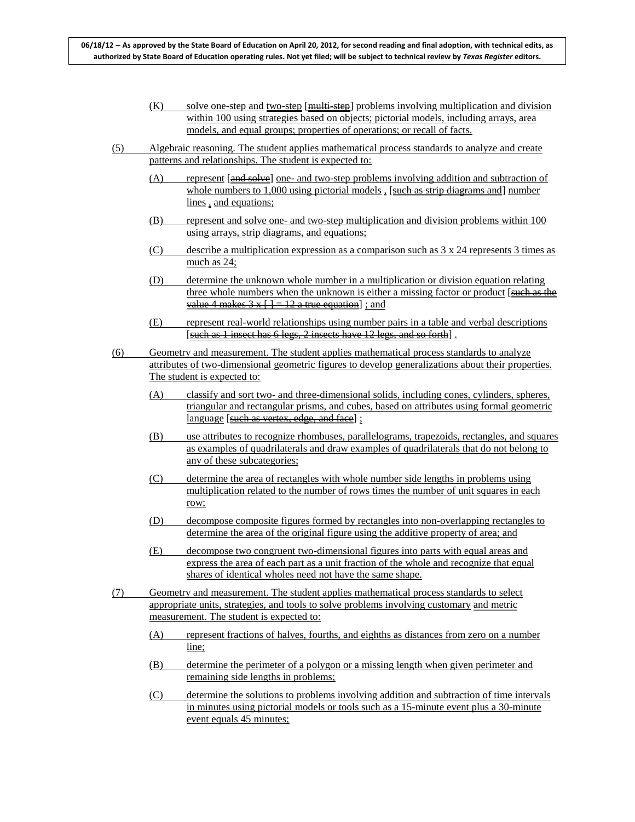- $(K)$  solve one-step and two-step [multi-step] problems involving multiplication and division within 100 using strategies based on objects; pictorial models, including arrays, area models, and equal groups; properties of operations; or recall of facts.
- (5) Algebraic reasoning. The student applies mathematical process standards to analyze and create patterns and relationships. The student is expected to:
	- (A) represent [and solve] one- and two-step problems involving addition and subtraction of whole numbers to 1,000 using pictorial models, [such as strip diagrams and] number lines, and equations;
	- (B) represent and solve one- and two-step multiplication and division problems within 100 using arrays, strip diagrams, and equations;
	- (C) describe a multiplication expression as a comparison such as  $3 \times 24$  represents  $3 \text{ times as}$ much as 24;
	- (D) determine the unknown whole number in a multiplication or division equation relating three whole numbers when the unknown is either a missing factor or product [such as the value 4 makes  $3x+1=12$  a true equation  $\pm$ ; and
	- (E) represent real-world relationships using number pairs in a table and verbal descriptions [such as 1 insect has 6 legs, 2 insects have 12 legs, and so forth].
- (6) Geometry and measurement. The student applies mathematical process standards to analyze attributes of two-dimensional geometric figures to develop generalizations about their properties. The student is expected to:
	- (A) classify and sort two- and three-dimensional solids, including cones, cylinders, spheres, triangular and rectangular prisms, and cubes, based on attributes using formal geometric language [such as vertex, edge, and face] ;
	- (B) use attributes to recognize rhombuses, parallelograms, trapezoids, rectangles, and squares as examples of quadrilaterals and draw examples of quadrilaterals that do not belong to any of these subcategories;
	- (C) determine the area of rectangles with whole number side lengths in problems using multiplication related to the number of rows times the number of unit squares in each row;
	- (D) decompose composite figures formed by rectangles into non-overlapping rectangles to determine the area of the original figure using the additive property of area; and
	- (E) decompose two congruent two-dimensional figures into parts with equal areas and express the area of each part as a unit fraction of the whole and recognize that equal shares of identical wholes need not have the same shape.
- (7) Geometry and measurement. The student applies mathematical process standards to select appropriate units, strategies, and tools to solve problems involving customary and metric measurement. The student is expected to:
	- (A) represent fractions of halves, fourths, and eighths as distances from zero on a number line:
	- (B) determine the perimeter of a polygon or a missing length when given perimeter and remaining side lengths in problems;
	- (C) determine the solutions to problems involving addition and subtraction of time intervals in minutes using pictorial models or tools such as a 15-minute event plus a 30-minute event equals 45 minutes;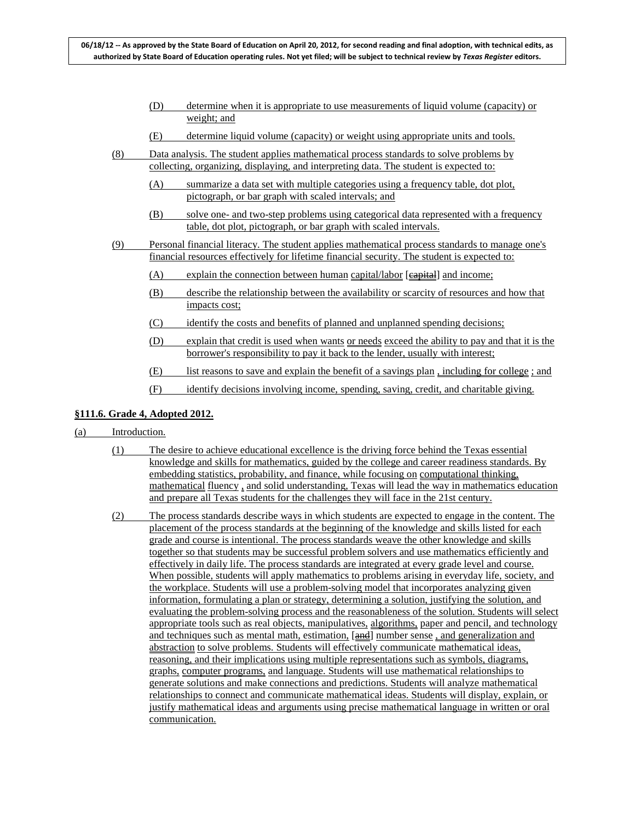- (D) determine when it is appropriate to use measurements of liquid volume (capacity) or weight; and
- (E) determine liquid volume (capacity) or weight using appropriate units and tools.
- (8) Data analysis. The student applies mathematical process standards to solve problems by collecting, organizing, displaying, and interpreting data. The student is expected to:
	- (A) summarize a data set with multiple categories using a frequency table, dot plot, pictograph, or bar graph with scaled intervals; and
	- (B) solve one- and two-step problems using categorical data represented with a frequency table, dot plot, pictograph, or bar graph with scaled intervals.
- (9) Personal financial literacy. The student applies mathematical process standards to manage one's financial resources effectively for lifetime financial security. The student is expected to:
	- (A) explain the connection between human capital/labor [eapital] and income;
	- (B) describe the relationship between the availability or scarcity of resources and how that impacts cost;
	- (C) identify the costs and benefits of planned and unplanned spending decisions;
	- (D) explain that credit is used when wants or needs exceed the ability to pay and that it is the borrower's responsibility to pay it back to the lender, usually with interest;
	- (E) list reasons to save and explain the benefit of a savings plan , including for college ; and
	- (F) identify decisions involving income, spending, saving, credit, and charitable giving.

### **§111.6. Grade 4, Adopted 2012.**

#### (a) Introduction.

- (1) The desire to achieve educational excellence is the driving force behind the Texas essential knowledge and skills for mathematics, guided by the college and career readiness standards. By embedding statistics, probability, and finance, while focusing on computational thinking, mathematical fluency , and solid understanding, Texas will lead the way in mathematics education and prepare all Texas students for the challenges they will face in the 21st century.
- (2) The process standards describe ways in which students are expected to engage in the content. The placement of the process standards at the beginning of the knowledge and skills listed for each grade and course is intentional. The process standards weave the other knowledge and skills together so that students may be successful problem solvers and use mathematics efficiently and effectively in daily life. The process standards are integrated at every grade level and course. When possible, students will apply mathematics to problems arising in everyday life, society, and the workplace. Students will use a problem-solving model that incorporates analyzing given information, formulating a plan or strategy, determining a solution, justifying the solution, and evaluating the problem-solving process and the reasonableness of the solution. Students will select appropriate tools such as real objects, manipulatives, algorithms, paper and pencil, and technology and techniques such as mental math, estimation, [and] number sense, and generalization and abstraction to solve problems. Students will effectively communicate mathematical ideas, reasoning, and their implications using multiple representations such as symbols, diagrams, graphs, computer programs, and language. Students will use mathematical relationships to generate solutions and make connections and predictions. Students will analyze mathematical relationships to connect and communicate mathematical ideas. Students will display, explain, or justify mathematical ideas and arguments using precise mathematical language in written or oral communication.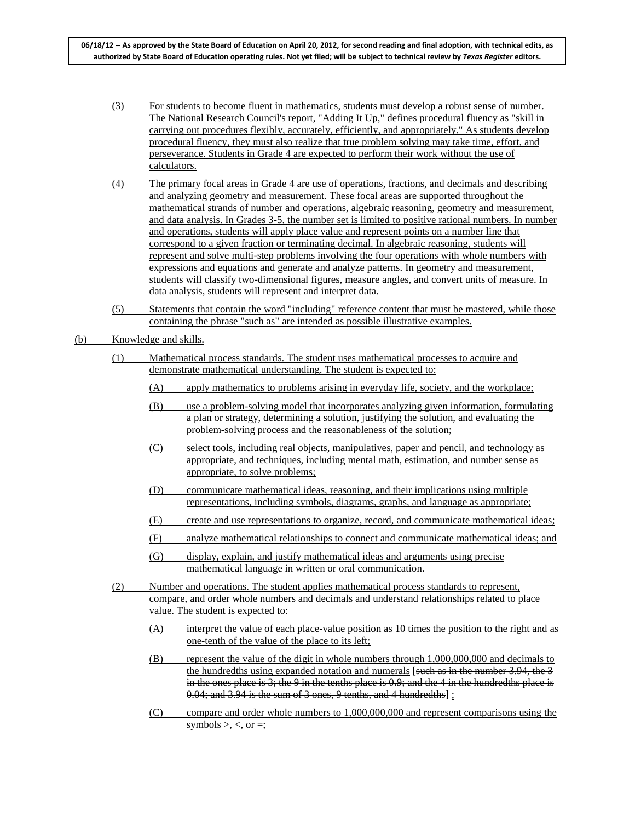- (3) For students to become fluent in mathematics, students must develop a robust sense of number. The National Research Council's report, "Adding It Up," defines procedural fluency as "skill in carrying out procedures flexibly, accurately, efficiently, and appropriately." As students develop procedural fluency, they must also realize that true problem solving may take time, effort, and perseverance. Students in Grade 4 are expected to perform their work without the use of calculators.
- (4) The primary focal areas in Grade 4 are use of operations, fractions, and decimals and describing and analyzing geometry and measurement. These focal areas are supported throughout the mathematical strands of number and operations, algebraic reasoning, geometry and measurement, and data analysis. In Grades 3-5, the number set is limited to positive rational numbers. In number and operations, students will apply place value and represent points on a number line that correspond to a given fraction or terminating decimal. In algebraic reasoning, students will represent and solve multi-step problems involving the four operations with whole numbers with expressions and equations and generate and analyze patterns. In geometry and measurement, students will classify two-dimensional figures, measure angles, and convert units of measure. In data analysis, students will represent and interpret data.
- (5) Statements that contain the word "including" reference content that must be mastered, while those containing the phrase "such as" are intended as possible illustrative examples.
- (b) Knowledge and skills.
	- (1) Mathematical process standards. The student uses mathematical processes to acquire and demonstrate mathematical understanding. The student is expected to:
		- (A) apply mathematics to problems arising in everyday life, society, and the workplace;
		- (B) use a problem-solving model that incorporates analyzing given information, formulating a plan or strategy, determining a solution, justifying the solution, and evaluating the problem-solving process and the reasonableness of the solution;
		- (C) select tools, including real objects, manipulatives, paper and pencil, and technology as appropriate, and techniques, including mental math, estimation, and number sense as appropriate, to solve problems;
		- (D) communicate mathematical ideas, reasoning, and their implications using multiple representations, including symbols, diagrams, graphs, and language as appropriate;
		- (E) create and use representations to organize, record, and communicate mathematical ideas;
		- (F) analyze mathematical relationships to connect and communicate mathematical ideas; and
		- (G) display, explain, and justify mathematical ideas and arguments using precise mathematical language in written or oral communication.
	- (2) Number and operations. The student applies mathematical process standards to represent, compare, and order whole numbers and decimals and understand relationships related to place value. The student is expected to:
		- (A) interpret the value of each place-value position as 10 times the position to the right and as one-tenth of the value of the place to its left;
		- (B) represent the value of the digit in whole numbers through 1,000,000,000 and decimals to the hundredths using expanded notation and numerals [such as in the number  $3.94$ , the 3 in the ones place is  $3$ ; the 9 in the tenths place is  $0.9$ ; and the 4 in the hundredths place is 0.04; and 3.94 is the sum of 3 ones, 9 tenths, and 4 hundredths] ;
		- (C) compare and order whole numbers to 1,000,000,000 and represent comparisons using the symbols  $>$ ,  $<$ , or  $=$ ;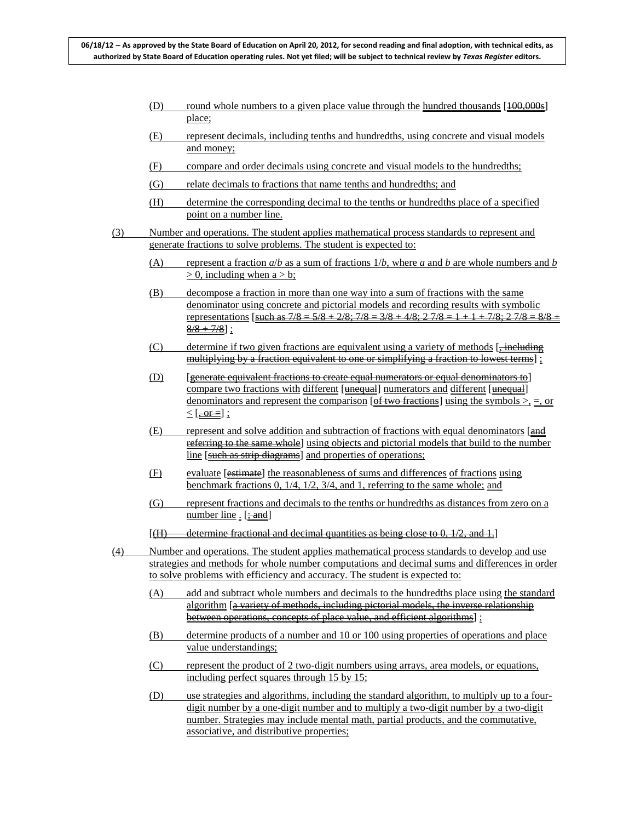- (D) round whole numbers to a given place value through the hundred thousands  $[100,000s]$ place;
- (E) represent decimals, including tenths and hundredths, using concrete and visual models and money;
- (F) compare and order decimals using concrete and visual models to the hundredths;
- (G) relate decimals to fractions that name tenths and hundredths; and
- (H) determine the corresponding decimal to the tenths or hundredths place of a specified point on a number line.
- (3) Number and operations. The student applies mathematical process standards to represent and generate fractions to solve problems. The student is expected to:
	- (A) represent a fraction *a*/*b* as a sum of fractions 1/*b*, where *a* and *b* are whole numbers and *b*   $> 0$ , including when a  $> b$ ;
	- (B) decompose a fraction in more than one way into a sum of fractions with the same denominator using concrete and pictorial models and recording results with symbolic representations [such as  $7/8 = 5/8 + 2/8$ ;  $7/8 = 3/8 + 4/8$ ;  $2 \frac{7}{8} = 1 + 1 + \frac{7}{8}$ ;  $2 \frac{7}{8} = \frac{8}{8}$  $\frac{8/8 + 7/8}{3}$  ;
	- (C) determine if two given fractions are equivalent using a variety of methods [ $\frac{1}{2}$  including multiplying by a fraction equivalent to one or simplifying a fraction to lowest terms] ;
	- (D) [generate equivalent fractions to create equal numerators or equal denominators to] compare two fractions with different [unequal] numerators and different [unequal] denominators and represent the comparison [ $\theta$  f two fractions] using the symbols  $>$ , =, or  $\leq$  [, or =];
	- $(E)$  represent and solve addition and subtraction of fractions with equal denominators  $\left[\frac{and}{end}\right]$ referring to the same whole] using objects and pictorial models that build to the number line [such as strip diagrams] and properties of operations;
	- (F) evaluate [estimate] the reasonableness of sums and differences of fractions using benchmark fractions 0, 1/4, 1/2, 3/4, and 1, referring to the same whole; and
	- (G) represent fractions and decimals to the tenths or hundredths as distances from zero on a number line . [<del>; and</del>]
	- $[(H)$  determine fractional and decimal quantities as being close to 0,  $1/2$ , and 1.
- (4) Number and operations. The student applies mathematical process standards to develop and use strategies and methods for whole number computations and decimal sums and differences in order to solve problems with efficiency and accuracy. The student is expected to:
	- (A) add and subtract whole numbers and decimals to the hundredths place using the standard algorithm [a variety of methods, including pictorial models, the inverse relationship between operations, concepts of place value, and efficient algorithms] :
	- (B) determine products of a number and 10 or 100 using properties of operations and place value understandings;
	- (C) represent the product of 2 two-digit numbers using arrays, area models, or equations, including perfect squares through 15 by 15;
	- (D) use strategies and algorithms, including the standard algorithm, to multiply up to a fourdigit number by a one-digit number and to multiply a two-digit number by a two-digit number. Strategies may include mental math, partial products, and the commutative, associative, and distributive properties;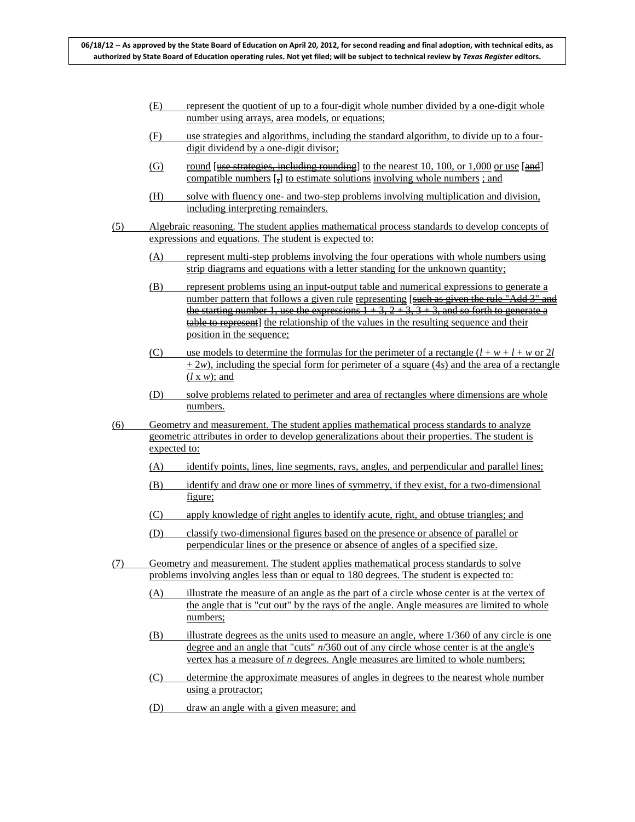- (E) represent the quotient of up to a four-digit whole number divided by a one-digit whole number using arrays, area models, or equations;
- (F) use strategies and algorithms, including the standard algorithm, to divide up to a fourdigit dividend by a one-digit divisor;
- $\sigma$  round [use strategies, including rounding] to the nearest 10, 100, or 1,000 or use [and] compatible numbers [,] to estimate solutions involving whole numbers ; and
- (H) solve with fluency one- and two-step problems involving multiplication and division, including interpreting remainders.
- (5) Algebraic reasoning. The student applies mathematical process standards to develop concepts of expressions and equations. The student is expected to:
	- (A) represent multi-step problems involving the four operations with whole numbers using strip diagrams and equations with a letter standing for the unknown quantity;
	- (B) represent problems using an input-output table and numerical expressions to generate a number pattern that follows a given rule representing [such as given the rule "Add 3" and the starting number 1, use the expressions  $1 + 3$ ,  $2 + 3$ ,  $3 + 3$ , and so forth to generate a table to represent] the relationship of the values in the resulting sequence and their position in the sequence;
	- (C) use models to determine the formulas for the perimeter of a rectangle  $(l + w + l + w)$  or 2*l*  $+ 2w$ ), including the special form for perimeter of a square (4*s*) and the area of a rectangle (*l* x *w*); and
	- (D) solve problems related to perimeter and area of rectangles where dimensions are whole numbers.
- (6) Geometry and measurement. The student applies mathematical process standards to analyze geometric attributes in order to develop generalizations about their properties. The student is expected to:
	- (A) identify points, lines, line segments, rays, angles, and perpendicular and parallel lines;
	- (B) identify and draw one or more lines of symmetry, if they exist, for a two-dimensional figure;
	- (C) apply knowledge of right angles to identify acute, right, and obtuse triangles; and
	- (D) classify two-dimensional figures based on the presence or absence of parallel or perpendicular lines or the presence or absence of angles of a specified size.
- (7) Geometry and measurement. The student applies mathematical process standards to solve problems involving angles less than or equal to 180 degrees. The student is expected to:
	- (A) illustrate the measure of an angle as the part of a circle whose center is at the vertex of the angle that is "cut out" by the rays of the angle. Angle measures are limited to whole numbers;
	- (B) illustrate degrees as the units used to measure an angle, where 1/360 of any circle is one degree and an angle that "cuts" *n*/360 out of any circle whose center is at the angle's vertex has a measure of *n* degrees. Angle measures are limited to whole numbers;
	- (C) determine the approximate measures of angles in degrees to the nearest whole number using a protractor;
	- (D) draw an angle with a given measure; and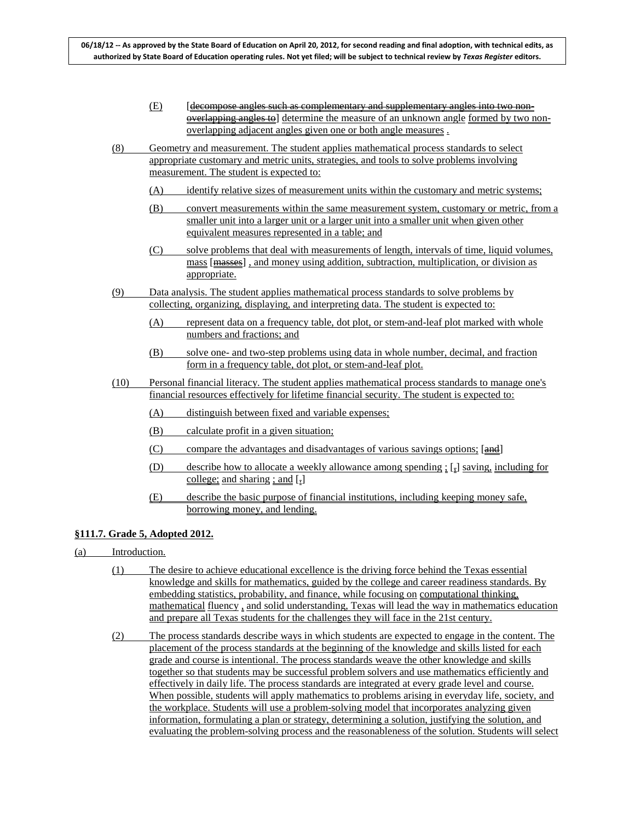- (E) [decompose angles such as complementary and supplementary angles into two nonoverlapping angles to determine the measure of an unknown angle formed by two nonoverlapping adjacent angles given one or both angle measures .
- (8) Geometry and measurement. The student applies mathematical process standards to select appropriate customary and metric units, strategies, and tools to solve problems involving measurement. The student is expected to:
	- (A) identify relative sizes of measurement units within the customary and metric systems;
	- (B) convert measurements within the same measurement system, customary or metric, from a smaller unit into a larger unit or a larger unit into a smaller unit when given other equivalent measures represented in a table; and
	- (C) solve problems that deal with measurements of length, intervals of time, liquid volumes, mass [masses] , and money using addition, subtraction, multiplication, or division as appropriate.
- (9) Data analysis. The student applies mathematical process standards to solve problems by collecting, organizing, displaying, and interpreting data. The student is expected to:
	- (A) represent data on a frequency table, dot plot, or stem-and-leaf plot marked with whole numbers and fractions; and
	- (B) solve one- and two-step problems using data in whole number, decimal, and fraction form in a frequency table, dot plot, or stem-and-leaf plot.
- (10) Personal financial literacy. The student applies mathematical process standards to manage one's financial resources effectively for lifetime financial security. The student is expected to:
	- (A) distinguish between fixed and variable expenses;
	- (B) calculate profit in a given situation;
	- (C) compare the advantages and disadvantages of various savings options; [and]
	- (D) describe how to allocate a weekly allowance among spending ; [,] saving, including for college; and sharing ; and [-]
	- (E) describe the basic purpose of financial institutions, including keeping money safe, borrowing money, and lending.

## **§111.7. Grade 5, Adopted 2012.**

- (a) Introduction.
	- (1) The desire to achieve educational excellence is the driving force behind the Texas essential knowledge and skills for mathematics, guided by the college and career readiness standards. By embedding statistics, probability, and finance, while focusing on computational thinking, mathematical fluency , and solid understanding, Texas will lead the way in mathematics education and prepare all Texas students for the challenges they will face in the 21st century.
	- (2) The process standards describe ways in which students are expected to engage in the content. The placement of the process standards at the beginning of the knowledge and skills listed for each grade and course is intentional. The process standards weave the other knowledge and skills together so that students may be successful problem solvers and use mathematics efficiently and effectively in daily life. The process standards are integrated at every grade level and course. When possible, students will apply mathematics to problems arising in everyday life, society, and the workplace. Students will use a problem-solving model that incorporates analyzing given information, formulating a plan or strategy, determining a solution, justifying the solution, and evaluating the problem-solving process and the reasonableness of the solution. Students will select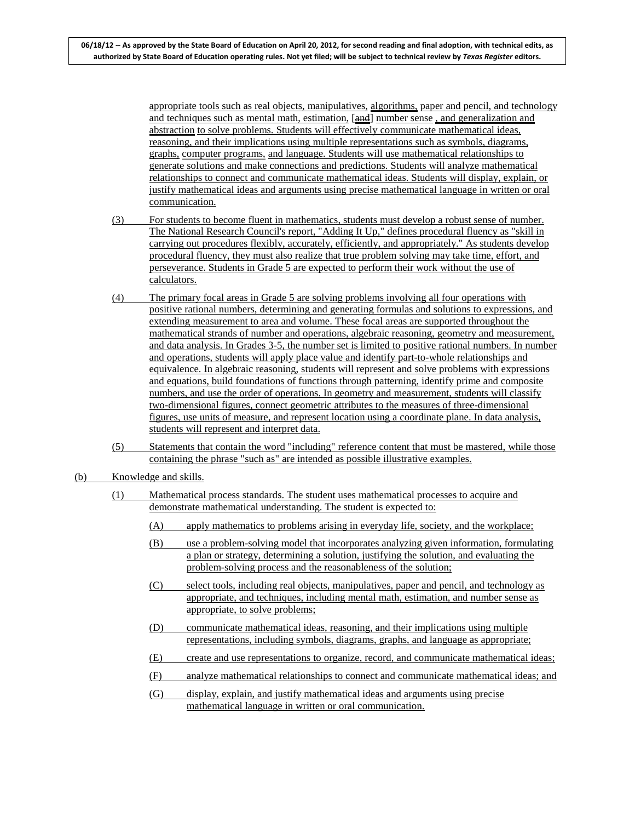appropriate tools such as real objects, manipulatives, algorithms, paper and pencil, and technology and techniques such as mental math, estimation, [and] number sense, and generalization and abstraction to solve problems. Students will effectively communicate mathematical ideas, reasoning, and their implications using multiple representations such as symbols, diagrams, graphs, computer programs, and language. Students will use mathematical relationships to generate solutions and make connections and predictions. Students will analyze mathematical relationships to connect and communicate mathematical ideas. Students will display, explain, or justify mathematical ideas and arguments using precise mathematical language in written or oral communication.

- (3) For students to become fluent in mathematics, students must develop a robust sense of number. The National Research Council's report, "Adding It Up," defines procedural fluency as "skill in carrying out procedures flexibly, accurately, efficiently, and appropriately." As students develop procedural fluency, they must also realize that true problem solving may take time, effort, and perseverance. Students in Grade 5 are expected to perform their work without the use of calculators.
- (4) The primary focal areas in Grade 5 are solving problems involving all four operations with positive rational numbers, determining and generating formulas and solutions to expressions, and extending measurement to area and volume. These focal areas are supported throughout the mathematical strands of number and operations, algebraic reasoning, geometry and measurement, and data analysis. In Grades 3-5, the number set is limited to positive rational numbers. In number and operations, students will apply place value and identify part-to-whole relationships and equivalence. In algebraic reasoning, students will represent and solve problems with expressions and equations, build foundations of functions through patterning, identify prime and composite numbers, and use the order of operations. In geometry and measurement, students will classify two-dimensional figures, connect geometric attributes to the measures of three-dimensional figures, use units of measure, and represent location using a coordinate plane. In data analysis, students will represent and interpret data.
- (5) Statements that contain the word "including" reference content that must be mastered, while those containing the phrase "such as" are intended as possible illustrative examples.
- (b) Knowledge and skills.
	- (1) Mathematical process standards. The student uses mathematical processes to acquire and demonstrate mathematical understanding. The student is expected to:
		- (A) apply mathematics to problems arising in everyday life, society, and the workplace;
		- (B) use a problem-solving model that incorporates analyzing given information, formulating a plan or strategy, determining a solution, justifying the solution, and evaluating the problem-solving process and the reasonableness of the solution;
		- (C) select tools, including real objects, manipulatives, paper and pencil, and technology as appropriate, and techniques, including mental math, estimation, and number sense as appropriate, to solve problems;
		- (D) communicate mathematical ideas, reasoning, and their implications using multiple representations, including symbols, diagrams, graphs, and language as appropriate;
		- (E) create and use representations to organize, record, and communicate mathematical ideas;
		- (F) analyze mathematical relationships to connect and communicate mathematical ideas; and
		- (G) display, explain, and justify mathematical ideas and arguments using precise mathematical language in written or oral communication.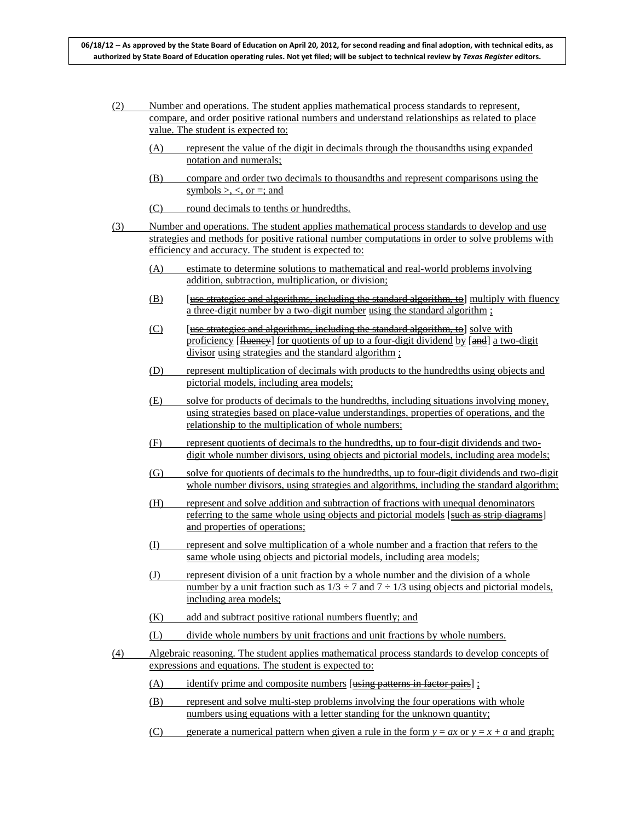- (2) Number and operations. The student applies mathematical process standards to represent, compare, and order positive rational numbers and understand relationships as related to place value. The student is expected to:
	- (A) represent the value of the digit in decimals through the thousandths using expanded notation and numerals;
	- (B) compare and order two decimals to thousandths and represent comparisons using the symbols  $>$ ,  $<$ , or  $=$ ; and
	- (C) round decimals to tenths or hundredths.
- (3) Number and operations. The student applies mathematical process standards to develop and use strategies and methods for positive rational number computations in order to solve problems with efficiency and accuracy. The student is expected to:
	- (A) estimate to determine solutions to mathematical and real-world problems involving addition, subtraction, multiplication, or division;
	- $(B)$  [use strategies and algorithms, including the standard algorithm, to] multiply with fluency a three-digit number by a two-digit number using the standard algorithm ;
	- (C) [use strategies and algorithms, including the standard algorithm, to solve with proficiency [Hueney] for quotients of up to a four-digit dividend by [and] a two-digit divisor using strategies and the standard algorithm ;
	- (D) represent multiplication of decimals with products to the hundredths using objects and pictorial models, including area models;
	- (E) solve for products of decimals to the hundredths, including situations involving money, using strategies based on place-value understandings, properties of operations, and the relationship to the multiplication of whole numbers;
	- (F) represent quotients of decimals to the hundredths, up to four-digit dividends and twodigit whole number divisors, using objects and pictorial models, including area models;
	- (G) solve for quotients of decimals to the hundredths, up to four-digit dividends and two-digit whole number divisors, using strategies and algorithms, including the standard algorithm;
	- (H) represent and solve addition and subtraction of fractions with unequal denominators referring to the same whole using objects and pictorial models [such as strip diagrams] and properties of operations;
	- (I) represent and solve multiplication of a whole number and a fraction that refers to the same whole using objects and pictorial models, including area models;
	- (J) represent division of a unit fraction by a whole number and the division of a whole number by a unit fraction such as  $1/3 \div 7$  and  $7 \div 1/3$  using objects and pictorial models, including area models;
	- (K) add and subtract positive rational numbers fluently; and
	- (L) divide whole numbers by unit fractions and unit fractions by whole numbers.
- (4) Algebraic reasoning. The student applies mathematical process standards to develop concepts of expressions and equations. The student is expected to:
	- $(A)$  identify prime and composite numbers [using patterns in factor pairs] ;
	- (B) represent and solve multi-step problems involving the four operations with whole numbers using equations with a letter standing for the unknown quantity;
	- (C) generate a numerical pattern when given a rule in the form  $y = ax$  or  $y = x + a$  and graph;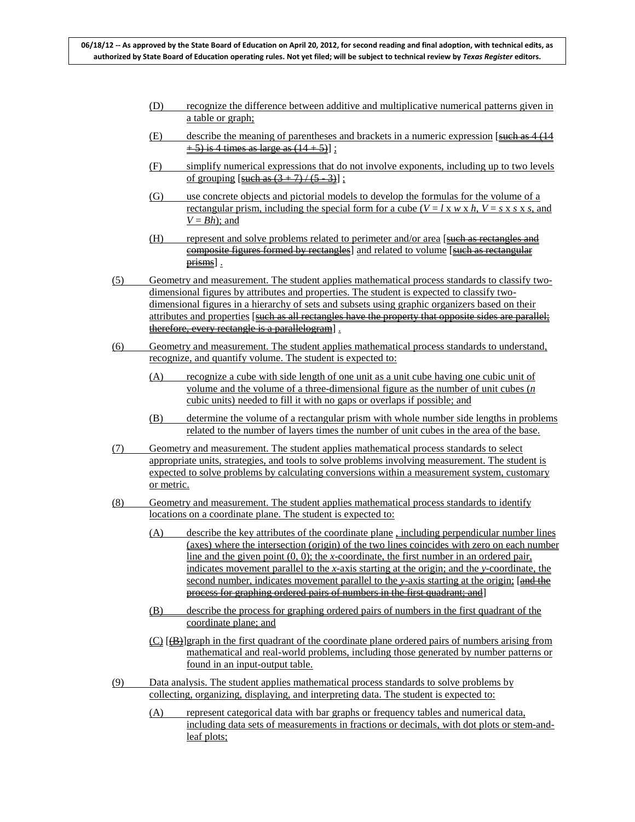- (D) recognize the difference between additive and multiplicative numerical patterns given in a table or graph;
- (E) describe the meaning of parentheses and brackets in a numeric expression  $\sqrt{3}$  such as 4 (14)  $+ 5$ ) is 4 times as large as  $(14 + 5)$ ];
- (F) simplify numerical expressions that do not involve exponents, including up to two levels of grouping [such as  $(3 + 7) / (5 - 3)$ ];
- (G) use concrete objects and pictorial models to develop the formulas for the volume of a rectangular prism, including the special form for a cube  $(V = l \times w \times h, V = s \times s \times s,$  and  $V = Bh$ ; and
- (H) represent and solve problems related to perimeter and/or area [such as rectangles and composite figures formed by rectangles] and related to volume [such as rectangular prisms].
- (5) Geometry and measurement. The student applies mathematical process standards to classify twodimensional figures by attributes and properties. The student is expected to classify twodimensional figures in a hierarchy of sets and subsets using graphic organizers based on their attributes and properties [such as all rectangles have the property that opposite sides are parallel; therefore, every rectangle is a parallelogram] .
- (6) Geometry and measurement. The student applies mathematical process standards to understand, recognize, and quantify volume. The student is expected to:
	- (A) recognize a cube with side length of one unit as a unit cube having one cubic unit of volume and the volume of a three-dimensional figure as the number of unit cubes (*n* cubic units) needed to fill it with no gaps or overlaps if possible; and
	- (B) determine the volume of a rectangular prism with whole number side lengths in problems related to the number of layers times the number of unit cubes in the area of the base.
- (7) Geometry and measurement. The student applies mathematical process standards to select appropriate units, strategies, and tools to solve problems involving measurement. The student is expected to solve problems by calculating conversions within a measurement system, customary or metric.
- (8) Geometry and measurement. The student applies mathematical process standards to identify locations on a coordinate plane. The student is expected to:
	- $(A)$  describe the key attributes of the coordinate plane including perpendicular number lines (axes) where the intersection (origin) of the two lines coincides with zero on each number line and the given point (0, 0); the *x*-coordinate, the first number in an ordered pair, indicates movement parallel to the *x*-axis starting at the origin; and the *y*-coordinate, the second number, indicates movement parallel to the *y*-axis starting at the origin; [and the process for graphing ordered pairs of numbers in the first quadrant; and]
	- (B) describe the process for graphing ordered pairs of numbers in the first quadrant of the coordinate plane; and
	- (C)  $[\frac{1}{2}]$ graph in the first quadrant of the coordinate plane ordered pairs of numbers arising from mathematical and real-world problems, including those generated by number patterns or found in an input-output table.
- (9) Data analysis. The student applies mathematical process standards to solve problems by collecting, organizing, displaying, and interpreting data. The student is expected to:
	- (A) represent categorical data with bar graphs or frequency tables and numerical data, including data sets of measurements in fractions or decimals, with dot plots or stem-andleaf plots;